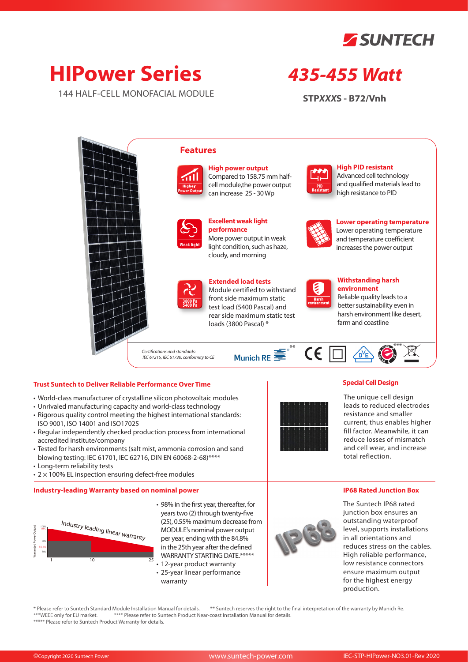

# **HIPower Series** *435-455 Watt*

144 HALF-CELL MONOFACIAL MODULE

**STP***XXX***S - B72/Vnh**



## **Trust Suntech to Deliver Reliable Performance Over Time**

- World-class manufacturer of crystalline silicon photovoltaic modules
- Unrivaled manufacturing capacity and world-class technology
- Rigorous quality control meeting the highest international standards: ISO 9001, ISO 14001 and ISO17025
- Regular independently checked production process from international accredited institute/company
- Tested for harsh environments (salt mist, ammonia corrosion and sand blowing testing: IEC 61701, IEC 62716, DIN EN 60068-2-68)\*\*\*\*
- Long-term reliability tests
- 2 × 100% EL inspection ensuring defect-free modules

#### **Industry-leading Warranty based on nominal power**



- 98% in the first year, thereafter, for years two (2) through twenty-five (25), 0.55% maximum decrease from MODULE's nominal power output per year, ending with the 84.8% in the 25th year after the defined WARRANTY STARTING DATE.\*\*\*\*\*
- 12-year product warranty
- 25-year linear performance warranty



The Suntech IP68 rated junction box ensures an outstanding waterproof level, supports installations in all orientations and reduces stress on the cables. High reliable performance, low resistance connectors ensure maximum output for the highest energy production.

\* Please refer to Suntech Standard Module Installation Manual for details. \*\* Suntech reserves the right to the final interpretation of the warranty by Munich Re.<br>\*\*\*WEEE only for EU market. \*\*\*\* Please refer to Suntech Pr \*\*\*\* Please refer to Suntech Product Near-coast Installation Manual for details. \*\*\*\*\* Please refer to Suntech Product Warranty for details.



## **Special Cell Design**

The unique cell design leads to reduced electrodes resistance and smaller current, thus enables higher fill factor. Meanwhile, it can reduce losses of mismatch and cell wear, and increase total reflection.

## **IP68 Rated Junction Box**